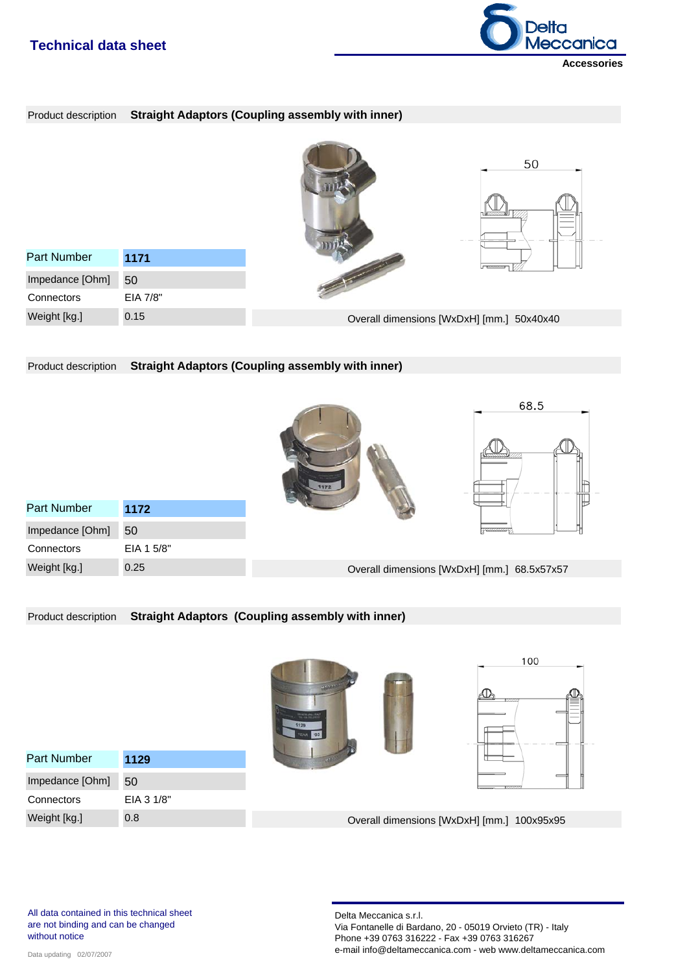# **Technical data sheet**



## Product description **Straight Adaptors (Coupling assembly with inner)**

|                    |          | 50                                        |
|--------------------|----------|-------------------------------------------|
| <b>Part Number</b> | 1171     |                                           |
| Impedance [Ohm]    | 50       |                                           |
| Connectors         | EIA 7/8" |                                           |
| Weight [kg.]       | 0.15     | Overall dimensions [WxDxH] [mm.] 50x40x40 |

Product description **Straight Adaptors (Coupling assembly with inner)**

|                    |            |                                             | 68.5             |  |
|--------------------|------------|---------------------------------------------|------------------|--|
|                    |            | 1172                                        |                  |  |
| <b>Part Number</b> | 1172       |                                             |                  |  |
| Impedance [Ohm]    | 50         |                                             | <b>Presences</b> |  |
| Connectors         | EIA 1 5/8" |                                             |                  |  |
| Weight [kg.]       | 0.25       | Overall dimensions [WxDxH] [mm.] 68.5x57x57 |                  |  |

Product description **Straight Adaptors (Coupling assembly with inner)**

|                    |            | <b><i>CONTINUES</i></b><br><b>Company Company Company</b><br>1129 | 100<br>UUTU                                |
|--------------------|------------|-------------------------------------------------------------------|--------------------------------------------|
| <b>Part Number</b> | 1129       | <b>SOUTHERN</b>                                                   |                                            |
| Impedance [Ohm]    | 50         |                                                                   | <b>YZZZZZZ</b>                             |
| Connectors         | EIA 3 1/8" |                                                                   |                                            |
| Weight [kg.]       | 0.8        |                                                                   | Overall dimensions [WxDxH] [mm.] 100x95x95 |